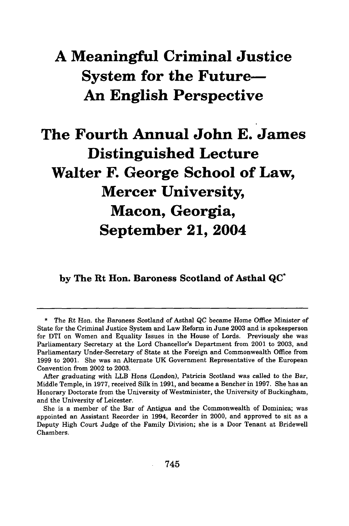## **A Meaningful Criminal Justice System for the Future-An English Perspective**

# **The Fourth Annual John E. James Distinguished Lecture Walter F. George School of Law, Mercer University, Macon, Georgia, September 21, 2004**

**by The Rt Hon. Baroness Scotland of Asthal QC\***

**<sup>\*</sup>** The Rt Hon. the Baroness Scotland of Asthal **QC** became Home Office Minister of State for the Criminal Justice System and Law Reform in June 2003 and is spokesperson for DTI on Women and Equality Issues in the House of Lords. Previously she was Parliamentary Secretary at the Lord Chancellor's Department from 2001 to 2003, and Parliamentary Under-Secretary of State at the Foreign and Commonwealth Office from 1999 to 2001. She was an Alternate UK Government Representative of the European Convention from 2002 to 2003.

After graduating with LLB Hons (London), Patricia Scotland was called to the Bar, Middle Temple, in 1977, received Silk in 1991, and became a Bencher in 1997. She has an Honorary Doctorate from the University of Westminister, the University of Buckingham, and the University of Leicester.

She is a member of the Bar of Antigua and the Commonwealth of Dominica; was appointed an Assistant Recorder in 1994, Recorder in 2000, and approved to sit as a Deputy High Court Judge of the Family Division; she is a Door Tenant at Bridewell Chambers.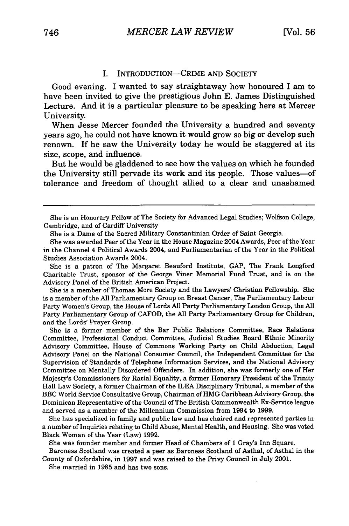#### I. INTRODUCTION—CRIME AND SOCIETY

Good evening. I wanted to say straightaway how honoured I am to have been invited to give the prestigious John E. James Distinguished Lecture. And it is a particular pleasure to be speaking here at Mercer University.

When Jesse Mercer founded the University a hundred and seventy years ago, he could not have known it would grow so big or develop such renown. If he saw the University today he would be staggered at its size, scope, and influence.

But he would be gladdened to see how the values on which he founded the University still pervade its work and its people. Those values-of tolerance and freedom of thought allied to a clear and unashamed

She is a Dame of the Sacred Military Constantinian Order of Saint Georgia.

She is a patron of The Margaret Beauford Institute, GAP, The Frank Longford Charitable Trust, sponsor of the George Viner Memorial Fund Trust, and is on the Advisory Panel of the British American Project.

She is a member of Thomas More Society and the Lawyers' Christian Fellowship. She is a member of the All Parliamentary Group on Breast Cancer, The Parliamentary Labour Party Women's Group, the House of Lords All Party Parliamentary London Group, the All Party Parliamentary Group of CAFOD, the All Party Parliamentary Group for Children, and the Lords' Prayer Group.

She is a former member of the Bar Public Relations Committee, Race Relations Committee, Professional Conduct Committee, Judicial Studies Board Ethnic Minority Advisory Committee, House of Commons Working Party on Child Abduction, Legal Advisory Panel on the National Consumer Council, the Independent Committee for the Supervision of Standards of Telephone Information Services, and the National Advisory Committee on Mentally Disordered Offenders. In addition, she was formerly one of Her Majesty's Commissioners for Racial Equality, a former Honorary President of the Trinity Hall Law Society, a former Chairman of the ILEA Disciplinary Tribunal, a member of the BBC World Service Consultative Group, Chairman of HMG Caribbean Advisory Group, the Dominican Representative of the Council of The British Commonwealth Ex-Service league and served as a member of the Millennium Commission from 1994 to 1999.

She has specialized in family and public law and has chaired and represented parties in a number of Inquiries relating to Child Abuse, Mental Health, and Housing. She was voted Black Woman of the Year (Law) 1992.

She was founder member and former Head of Chambers of 1 Gray's Inn Square.

Baroness Scotland was created a peer as Baroness Scotland of Asthal, of Asthal in the County of Oxfordshire, in 1997 and was raised to the Privy Council in July 2001.

She married in 1985 and has two sons.

She is an Honorary Fellow of The Society for Advanced Legal Studies; Wolfson College, Cambridge, and of Cardiff University

She was awarded Peer of the Year in the House Magazine 2004 Awards, Peer of the Year in the Channel 4 Political Awards 2004, and Parliamentarian of the Year in the Political Studies Association Awards 2004.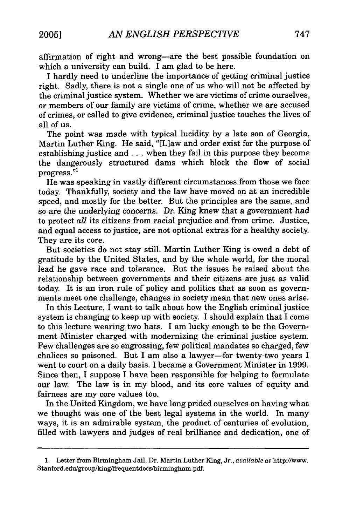affirmation of right and wrong-are the best possible foundation on which a university can build. I am glad to be here.

I hardly need to underline the importance of getting criminal justice right. Sadly, there is not a single one of us who will not be affected by the criminal justice system. Whether we are victims of crime ourselves, or members of our family are victims of crime, whether we are accused of crimes, or called to give evidence, criminal justice touches the lives of all of us.

The point was made with typical lucidity by a late son of Georgia, Martin Luther King. He said, "[L]aw and order exist for the purpose of establishing justice and. **.** when they fail in this purpose they become the dangerously structured dams which block the flow of social progress."<sup>1</sup>

He was speaking in vastly different circumstances from those we face today. Thankfully, society and the law have moved on at an incredible speed, and mostly for the better. But the principles are the same, and so are the underlying concerns. Dr. King knew that a government had to protect *all* its citizens from racial prejudice and from crime. Justice, and equal access to justice, are not optional extras for a healthy society. They are its core.

But societies do not stay still. Martin Luther King is owed a debt of gratitude by the United States, and by the whole world, for the moral lead he gave race and tolerance. But the issues he raised about the relationship between governments and their citizens are just as valid today. It is an iron rule of policy and politics that as soon as governments meet one challenge, changes in society mean that new ones arise.

In this Lecture, I want to talk about how the English criminal justice system is changing to keep up with society. I should explain that I come to this lecture wearing two hats. I am lucky enough to be the Government Minister charged with modernizing the criminal justice system. Few challenges are so engrossing, few political mandates so charged, few chalices so poisoned. But I am also a lawyer-for twenty-two years I went to court on a daily basis. I became a Government Minister in 1999. Since then, I suppose I have been responsible for helping to formulate our law. The law is in my blood, and its core values of equity and fairness are my core values too.

In the United Kingdom, we have long prided ourselves on having what we thought was one of the best legal systems in the world. In many ways, it is an admirable system, the product of centuries of evolution, filled with lawyers and judges of real brilliance and dedication, one of

<sup>1.</sup> Letter from Birmingham Jail, Dr. Martin Luther King, Jr., *available at* http://www. Stanford.edu/group/king/frequentdocs/birmingham.pdf.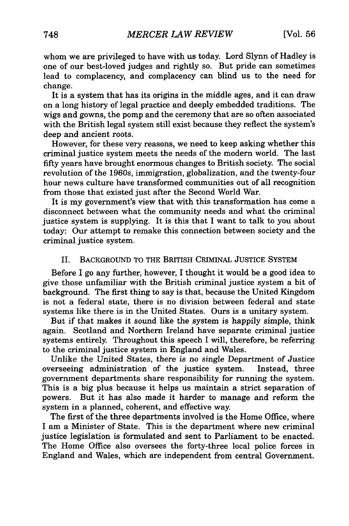whom we are privileged to have with us today. Lord Slynn of Hadley is one of our best-loved judges and rightly so. But pride can sometimes lead to complacency, and complacency can blind us to the need for change.

It is a system that has its origins in the middle ages, and it can draw on a long history of legal practice and deeply embedded traditions. The wigs and gowns, the pomp and the ceremony that are so often associated with the British legal system still exist because they reflect the system's deep and ancient roots.

However, for these very reasons, we need to keep asking whether this criminal justice system meets the needs of the modern world. The last fifty years have brought enormous changes to British society. The social revolution of the 1960s, immigration, globalization, and the twenty-four hour news culture have transformed communities out of all recognition from those that existed just after the Second World War.

It is my government's view that with this transformation has come a disconnect between what the community needs and what the criminal justice system is supplying. It is this that I want to talk to you about today: Our attempt to remake this connection between society and the criminal justice system.

### II. BACKGROUND TO THE BRITISH CRIMINAL JUSTICE SYSTEM

Before I go any further, however, I thought it would be a good idea to give those unfamiliar with the British criminal justice system a bit of background. The first thing to say is that, because the United Kingdom is not a federal state, there is no division between federal and state systems like there is in the United States. Ours is a unitary system.

But if that makes it sound like the system is happily simple, think again. Scotland and Northern Ireland have separate criminal justice systems entirely. Throughout this speech I will, therefore, be referring to the criminal justice system in England and Wales.

Unlike the United States, there is no single Department of Justice overseeing administration of the justice system. Instead, three government departments share responsibility for running the system. This is a big plus because it helps us maintain a strict separation of powers. But it has also made it harder to manage and reform the system in a planned, coherent, and effective way.

The first of the three departments involved is the Home Office, where I am a Minister of State. This is the department where new criminal justice legislation is formulated and sent to Parliament to be enacted. The Home Office also oversees the forty-three local police forces in England and Wales, which are independent from central Government.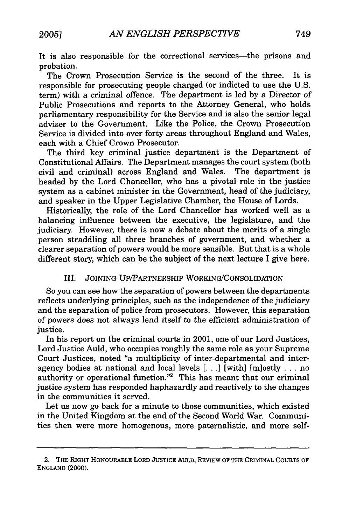It is also responsible for the correctional services-the prisons and probation.

The Crown Prosecution Service is the second of the three. It is responsible for prosecuting people charged (or indicted to use the U.S. term) with a criminal offence. The department is led by a Director of Public Prosecutions and reports to the Attorney General, who holds parliamentary responsibility for the Service and is also the senior legal adviser to the Government. Like the Police, the Crown Prosecution Service is divided into over forty areas throughout England and Wales, each with a Chief Crown Prosecutor.

The third key criminal justice department is the Department of Constitutional Affairs. The Department manages the court system (both civil and criminal) across England and Wales. headed by the Lord Chancellor, who has a pivotal role in the justice system as a cabinet minister in the Government, head of the judiciary, and speaker in the Upper Legislative Chamber, the House of Lords.

Historically, the role of the Lord Chancellor has worked well as a balancing influence between the executive, the legislature, and the judiciary. However, there is now a debate about the merits of a single person straddling all three branches of government, and whether a clearer separation of powers would be more sensible. But that is a whole different story, which can be the subject of the next lecture I give here.

## III. JOINING UP/PARTNERSHIP WORKING/CONSOLIDATION

So you can see how the separation of powers between the departments reflects underlying principles, such as the independence of the judiciary and the separation of police from prosecutors. However, this separation of powers does not always lend itself to the efficient administration of justice.

In his report on the criminal courts in 2001, one of our Lord Justices, Lord Justice Auld, who occupies roughly the same role as your Supreme Court Justices, noted "a multiplicity of inter-departmental and interagency bodies at national and local levels [... **I** [with] [mlostly . . . no authority or operational function."2 This has meant that our criminal justice system has responded haphazardly and reactively to the changes in the communities it served.

Let us now go back for a minute to those communities, which existed in the United Kingdom at the end of the Second World War. Communities then were more homogenous, more paternalistic, and more self-

<sup>2.</sup> THE RIGHT HONOURABLE **LORD** JUSTIcE AULD, REVIEW OF THE CRIMINAL COURTS OF ENGLAND (2000).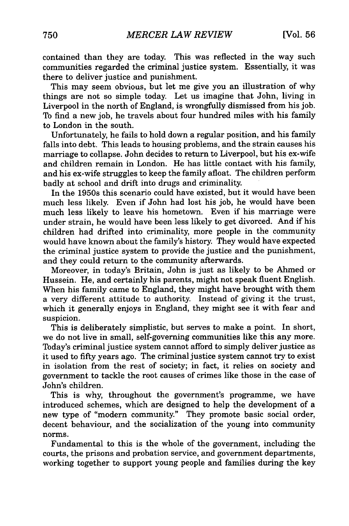contained than they are today. This was reflected in the way such communities regarded the criminal justice system. Essentially, it was there to deliver justice and punishment.

This may seem obvious, but let me give you an illustration of why things are not so simple today. Let us imagine that John, living in Liverpool in the north of England, is wrongfully dismissed from his job. To find a new job, he travels about four hundred miles with his family to London in the south.

Unfortunately, he fails to hold down a regular position, and his family falls into debt. This leads to housing problems, and the strain causes his marriage to collapse. John decides to return to Liverpool, but his ex-wife and children remain in London. He has little contact with his family, and his ex-wife struggles to keep the family afloat. The children perform badly at school and drift into drugs and criminality.

In the 1950s this scenario could have existed, but it would have been much less likely. Even if John had lost his job, he would have been much less likely to leave his hometown. Even if his marriage were under strain, he would have been less likely to get divorced. And if his children had drifted into criminality, more people in the community would have known about the family's history. They would have expected the criminal justice system to provide the justice and the punishment, and they could return to the community afterwards.

Moreover, in today's Britain, John is just as likely to be Ahmed or Hussein. He, and certainly his parents, might not speak fluent English. When his family came to England, they might have brought with them a very different attitude to authority. Instead of giving it the trust, which it generally enjoys in England, they might see it with fear and suspicion.

This is deliberately simplistic, but serves to make a point. In short, we do not live in small, self-governing communities like this any more. Today's criminal justice system cannot afford to simply deliver justice as it used to fifty years ago. The criminal justice system cannot try to exist in isolation from the rest of society; in fact, it relies on society and government to tackle the root causes of crimes like those in the case of John's children.

This is why, throughout the government's programme, we have introduced schemes, which are designed to help the development of a new type of "modern community." They promote basic social order, decent behaviour, and the socialization of the young into community norms.

Fundamental to this is the whole of the government, including the courts, the prisons and probation service, and government departments, working together to support young people and families during the key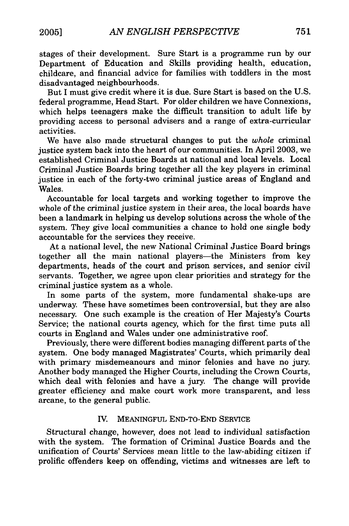stages of their development. Sure Start is a programme run by our Department of Education and Skills providing health, education, childcare, and financial advice for families with toddlers in the most disadvantaged neighbourhoods.

But I must give credit where it is due. Sure Start is based on the U.S. federal programme, Head Start. For older children we have Connexions, which helps teenagers make the difficult transition to adult life by providing access to personal advisers and a range of extra-curricular activities.

We have also made structural changes to put the *whole* criminal justice system back into the heart of our communities. In April 2003, we established Criminal Justice Boards at national and local levels. Local Criminal Justice Boards bring together all the key players in criminal justice in each of the forty-two criminal justice areas of England and Wales.

Accountable for local targets and working together to improve the whole of the criminal justice system in their area, the local boards have been a landmark in helping us develop solutions across the whole of the system. They give local communities a chance to hold one single body accountable for the services they receive.

At a national level, the new National Criminal Justice Board brings together all the main national players—the Ministers from key departments, heads of the court and prison services, and senior civil servants. Together, we agree upon clear priorities and strategy for the criminal justice system as a whole.

In some parts of the system, more fundamental shake-ups are underway. These have sometimes been controversial, but they are also necessary. One such example is the creation of Her Majesty's Courts Service; the national courts agency, which for the first time puts all courts in England and Wales under one administrative roof.

Previously, there were different bodies managing different parts of the system. One body managed Magistrates' Courts, which primarily deal with primary misdemeanours and minor felonies and have no jury. Another body managed the Higher Courts, including the Crown Courts, which deal with felonies and have a jury. The change will provide greater efficiency and make court work more transparent, and less arcane, to the general public.

#### IV. MEANINGFUL END-TO-END SERVICE

Structural change, however, does not lead to individual satisfaction with the system. The formation of Criminal Justice Boards and the unification of Courts' Services mean little to the law-abiding citizen if prolific offenders keep on offending, victims and witnesses are left to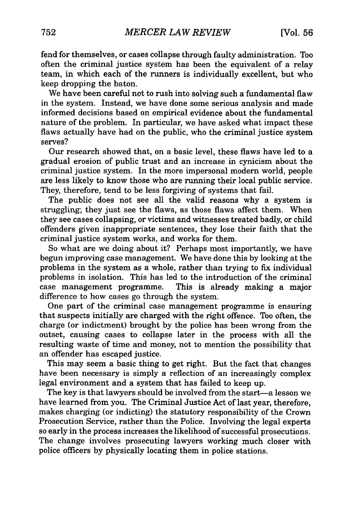fend for themselves, or cases collapse through faulty administration. Too often the criminal justice system has been the equivalent of a relay team, in which each of the runners is individually excellent, but who keep dropping the baton.

We have been careful not to rush into solving such a fundamental flaw in the system. Instead, we have done some serious analysis and made informed decisions based on empirical evidence about the fundamental nature of the problem. In particular, we have asked what impact these flaws actually have had on the public, who the criminal justice system serves?

Our research showed that, on a basic level, these flaws have led to a gradual erosion of public trust and an increase in cynicism about the criminal justice system. In the more impersonal modern world, people are less likely to know those who are running their local public service. They, therefore, tend to be less forgiving of systems that fail.

The public does not see all the valid reasons why a system is struggling; they just see the flaws, as those flaws affect them. When they see cases collapsing, or victims and witnesses treated badly, or child offenders given inappropriate sentences, they lose their faith that the criminal justice system works, and works for them.

So what are we doing about it? Perhaps most importantly, we have begun improving case management. We have done this by looking at the problems in the system as a whole, rather than trying to fix individual problems in isolation. This has led to the introduction of the criminal case management programme. This is already making a major difference to how cases go through the system.

One part of the criminal case management programme is ensuring that suspects initially are charged with the right offence. Too often, the charge (or indictment) brought by the police has been wrong from the outset, causing cases to collapse later in the process with all the resulting waste of time and money, not to mention the possibility that an offender has escaped justice.

This may seem a basic thing to get right. But the fact that changes have been necessary is simply a reflection of an increasingly complex legal environment and a system that has failed to keep up.

The key is that lawyers should be involved from the start-a lesson we have learned from you. The Criminal Justice Act of last year, therefore, makes charging (or indicting) the statutory responsibility of the Crown Prosecution Service, rather than the Police. Involving the legal experts so early in the process increases the likelihood of successful prosecutions. The change involves prosecuting lawyers working much closer with police officers by physically locating them in police stations.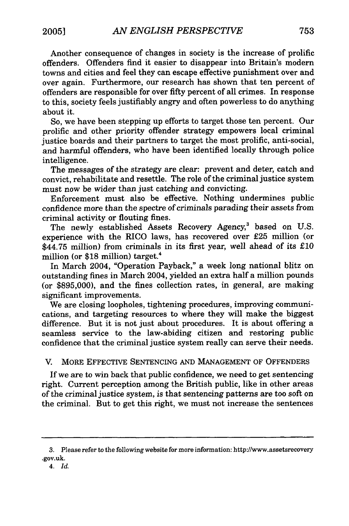Another consequence of changes in society is the increase of prolific offenders. Offenders find it easier to disappear into Britain's modern towns and cities and feel they can escape effective punishment over and over again. Furthermore, our research has shown that ten percent of offenders are responsible for over fifty percent of all crimes. In response to this, society feels justifiably angry and often powerless to do anything about it.

So, we have been stepping up efforts to target those ten percent. Our prolific and other priority offender strategy empowers local criminal justice boards and their partners to target the most prolific, anti-social, and harmful offenders, who have been identified locally through police intelligence.

The messages of the strategy are clear: prevent and deter, catch and convict, rehabilitate and resettle. The role of the criminal justice system must now be wider than just catching and convicting.

Enforcement must also be effective. Nothing undermines public confidence more than the spectre of criminals parading their assets from criminal activity or flouting fines.

The newly established Assets Recovery Agency,<sup>3</sup> based on U.S. experience with the RICO laws, has recovered over £25 million (or \$44.75 million) from criminals in its first year, well ahead of its £10 million (or \$18 million) target.<sup>4</sup>

In March 2004, "Operation Payback," a week long national blitz on outstanding fines in March 2004, yielded an extra half a million pounds (or \$895,000), and the fines collection rates, in general, are making significant improvements.

We are closing loopholes, tightening procedures, improving communications, and targeting resources to where they will make the biggest difference. But it is not just about procedures. It is about offering a seamless service to the law-abiding citizen and restoring public confidence that the criminal justice system really can serve their needs.

V. MORE EFFECTIVE SENTENCING AND MANAGEMENT OF OFFENDERS

If we are to win back that public confidence, we need to get sentencing right. Current perception among the British public, like in other areas of the criminal justice system, is that sentencing patterns are too soft on the criminal. But to get this right, we must not increase the sentences

<sup>3.</sup> Please refer to the following website for more information: http://www.assetsrecovery .gov.uk.

*<sup>4.</sup> Id.*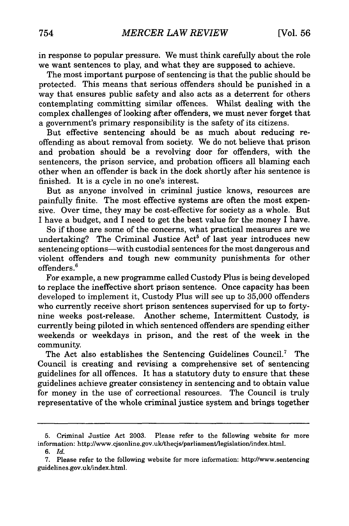in response to popular pressure. We must think carefully about the role we want sentences to play, and what they are supposed to achieve.

The most important purpose of sentencing is that the public should be protected. This means that serious offenders should be punished in a way that ensures public safety and also acts as a deterrent for others contemplating committing similar offences. Whilst dealing with the complex challenges of looking after offenders, we must never forget that a government's primary responsibility is the safety of its citizens.

But effective sentencing should be as much about reducing reoffending as about removal from society. We do not believe that prison and probation should be a revolving door for offenders, with the sentencers, the prison service, and probation officers all blaming each other when an offender is back in the dock shortly after his sentence is finished. It is a cycle in no one's interest.

But as anyone involved in criminal justice knows, resources are painfully finite. The most effective systems are often the most expensive. Over time, they may be cost-effective for society as a whole. But I have a budget, and I need to get the best value for the money I have.

So if those are some of the concerns, what practical measures are we undertaking? The Criminal Justice Act<sup>5</sup> of last year introduces new sentencing options—with custodial sentences for the most dangerous and violent offenders and tough new community punishments for other offenders. <sup>6</sup>

For example, a new programme called Custody Plus is being developed to replace the ineffective short prison sentence. Once capacity has been developed to implement it, Custody Plus will see up to 35,000 offenders who currently receive short prison sentences supervised for up to fortynine weeks post-release. Another scheme, Intermittent Custody, is currently being piloted in which sentenced offenders are spending either weekends or weekdays in prison, and the rest of the week in the community.

The Act also establishes the Sentencing Guidelines Council.<sup>7</sup> The Council is creating and revising a comprehensive set of sentencing guidelines for all offences. It has a statutory duty to ensure that these guidelines achieve greater consistency in sentencing and to obtain value for money in the use of correctional resources. The Council is truly representative of the whole criminal justice system and brings together

<sup>5.</sup> Criminal Justice Act 2003. Please refer to the following website for more information: http://www.cjsonline.gov.uk/thecjs/parliament/legislation/index.html.

*<sup>6.</sup> Id.*

<sup>7.</sup> Please refer to the following website for more information: http://www.sentencing guidelines.gov.uk/index.html.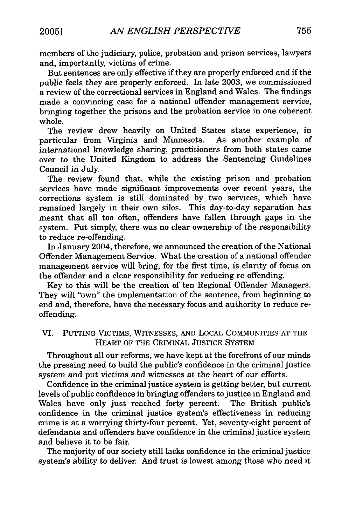members of the judiciary, police, probation and prison services, lawyers and, importantly, victims of crime.

But sentences are only effective if they are properly enforced and if the public feels they are properly enforced. In late 2003, we commissioned a review of the correctional services in England and Wales. The findings made a convincing case for a national offender management service, bringing together the prisons and the probation service in one coherent whole.

The review drew heavily on United States state experience, in particular from Virginia and Minnesota. As another example of international knowledge sharing, practitioners from both states came over to the United Kingdom to address the Sentencing Guidelines Council in July.

The review found that, while the existing prison and probation services have made significant improvements over recent years, the corrections system is still dominated by two services, which have remained largely in their own silos. This day-to-day separation has meant that all too often, offenders have fallen through gaps in the system. Put simply, there was no clear ownership of the responsibility to reduce re-offending.

In January 2004, therefore, we announced the creation of the National Offender Management Service. What the creation of a national offender management service will bring, for the first time, is clarity of focus on the offender and a clear responsibility for reducing re-offending.

Key to this will be the creation of ten Regional Offender Managers. They will "own" the implementation of the sentence, from beginning to end and, therefore, have the necessary focus and authority to reduce reoffending.

## VI. PUTTING VICTIMS, WITNESSES, AND LOCAL COMMUNITIES AT THE HEART OF THE CRIMINAL JUSTICE SYSTEM

Throughout all our reforms, we have kept at the forefront of our minds the pressing need to build the public's confidence in the criminal justice system and put victims and witnesses at the heart of our efforts.

Confidence in the criminal justice system is getting better, but current levels of public confidence in bringing offenders to justice in England and Wales have only just reached forty percent. The British public's confidence in the criminal justice system's effectiveness in reducing crime is at a worrying thirty-four percent. Yet, seventy-eight percent of defendants and offenders have confidence in the criminal justice system and believe it to be fair.

The majority of our society still lacks confidence in the criminal justice system's ability to deliver. And trust is lowest among those who need it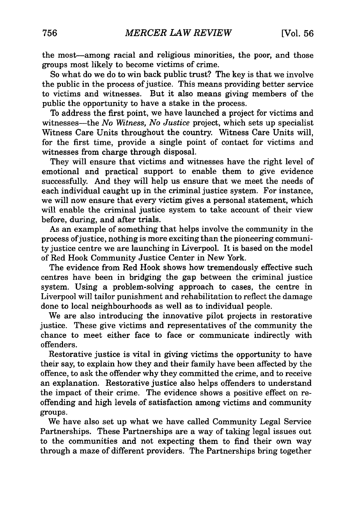the most-among racial and religious minorities, the poor, and those groups most likely to become victims of crime.

So what do we do to win back public trust? The key is that we involve the public in the process of justice. This means providing better service to victims and witnesses. But it also means giving members of the public the opportunity to have a stake in the process.

To address the first point, we have launched a project for victims and witnesses-the *No Witness, No Justice* project, which sets up specialist Witness Care Units throughout the country. Witness Care Units will, for the first time, provide a single point of contact for victims and witnesses from charge through disposal.

They will ensure that victims and witnesses have the right level of emotional and practical support to enable them to give evidence successfully. And they will help us ensure that we meet the needs of each individual caught up in the criminal justice system. For instance, we will now ensure that every victim gives a personal statement, which will enable the criminal justice system to take account of their view before, during, and after trials.

As an example of something that helps involve the community in the process ofjustice, nothing is more exciting than the pioneering community justice centre we are launching in Liverpool. It is based on the model of Red Hook Community Justice Center in New York.

The evidence from Red Hook shows how tremendously effective such centres have been in bridging the gap between the criminal justice system. Using a problem-solving approach to cases, the centre in Liverpool will tailor punishment and rehabilitation to reflect the damage done to local neighbourhoods as well as to individual people.

We are also introducing the innovative pilot projects in restorative justice. These give victims and representatives of the community the chance to meet either face to face or communicate indirectly with offenders.

Restorative justice is vital in giving victims the opportunity to have their say, to explain how they and their family have been affected by the offence, to ask the offender why they committed the crime, and to receive an explanation. Restorative justice also helps offenders to understand the impact of their crime. The evidence shows a positive effect on reoffending and high levels of satisfaction among victims and community groups.

We have also set up what we have called Community Legal Service Partnerships. These Partnerships are a way of taking legal issues out to the communities and not expecting them to find their own way through a maze of different providers. The Partnerships bring together